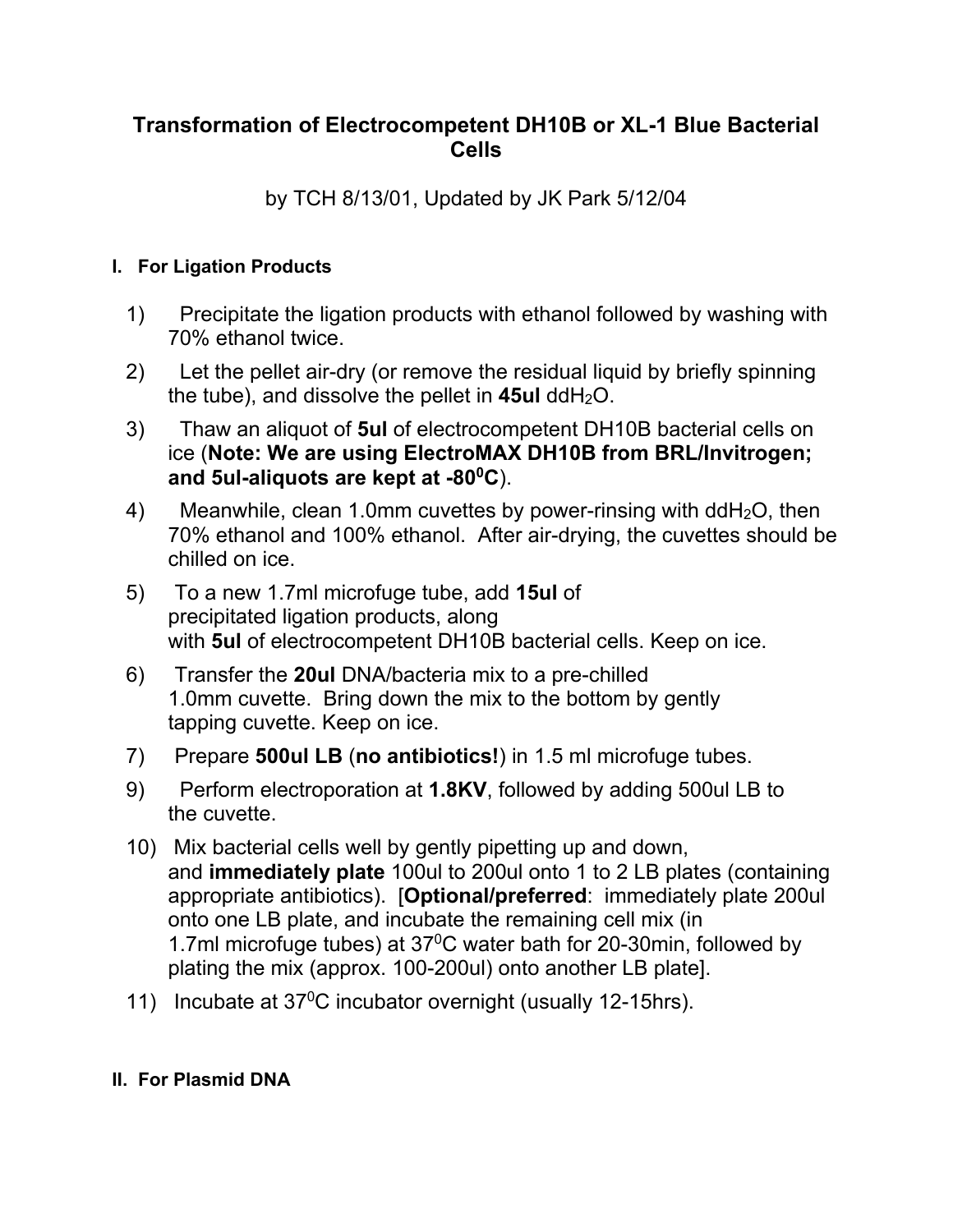## **Transformation of Electrocompetent DH10B or XL-1 Blue Bacterial Cells**

by TCH 8/13/01, Updated by JK Park 5/12/04

## **I. For Ligation Products**

- 1) Precipitate the ligation products with ethanol followed by washing with 70% ethanol twice.
- 2) Let the pellet air-dry (or remove the residual liquid by briefly spinning the tube), and dissolve the pellet in  $45ul$  ddH<sub>2</sub>O.
- 3) Thaw an aliquot of **5ul** of electrocompetent DH10B bacterial cells on ice (**Note: We are using ElectroMAX DH10B from BRL/Invitrogen; and 5ul-aliquots are kept at -800C**).
- 4) Meanwhile, clean 1.0mm cuvettes by power-rinsing with  $ddH<sub>2</sub>O$ , then 70% ethanol and 100% ethanol. After air-drying, the cuvettes should be chilled on ice.
- 5) To a new 1.7ml microfuge tube, add **15ul** of precipitated ligation products, along with **5ul** of electrocompetent DH10B bacterial cells. Keep on ice.
- 6) Transfer the **20ul** DNA/bacteria mix to a pre-chilled 1.0mm cuvette. Bring down the mix to the bottom by gently tapping cuvette. Keep on ice.
- 7) Prepare **500ul LB** (**no antibiotics!**) in 1.5 ml microfuge tubes.
- 9) Perform electroporation at **1.8KV**, followed by adding 500ul LB to the cuvette.
- 10) Mix bacterial cells well by gently pipetting up and down, and **immediately plate** 100ul to 200ul onto 1 to 2 LB plates (containing appropriate antibiotics). [**Optional/preferred**: immediately plate 200ul onto one LB plate, and incubate the remaining cell mix (in 1.7ml microfuge tubes) at  $37^{\circ}$ C water bath for 20-30min, followed by plating the mix (approx. 100-200ul) onto another LB plate].
- 11) Incubate at 37<sup>0</sup>C incubator overnight (usually 12-15hrs).

## **II. For Plasmid DNA**